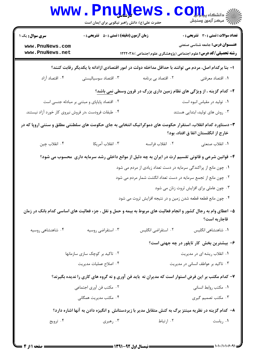|                                                                                                                                                    | www . Pnu <u>n</u> ews<br>حضرت علی(ع): دانش راهبر نیکویی برای ایمان است                             |                                                                  | $\mathbf{C}\mathbf{O}$ وانشکاه پیاب<br>أأأآه مركز آزمون وسنجش                                                     |  |  |
|----------------------------------------------------------------------------------------------------------------------------------------------------|-----------------------------------------------------------------------------------------------------|------------------------------------------------------------------|-------------------------------------------------------------------------------------------------------------------|--|--|
| <b>سری سوال :</b> یک ۱                                                                                                                             | <b>زمان آزمون (دقیقه) : تستی : 50 ٪ تشریحی : 0</b>                                                  |                                                                  | <b>تعداد سوالات : تستی : 30 ٪ تشریحی : 0</b>                                                                      |  |  |
| www.PnuNews.com<br>www.PnuNews.net                                                                                                                 |                                                                                                     |                                                                  | <b>عنـــوان درس:</b> جامعه شناسی صنعتی<br><b>رشته تحصیلی/کد درس:</b> علوم اجتماعی (پژوهشگری علوم اجتماعی )۱۲۲۲۰۳۸ |  |  |
| ا– بنا برکدام اصل، مردم می توانند با حداقل مداخله دولت در امور اقتصادی ازادانه با یکدیگر رقابت کنند؟                                               |                                                                                                     |                                                                  |                                                                                                                   |  |  |
| ۰۴ اقتصاد آزاد                                                                                                                                     | ۰۳ اقتصاد سوسیالیستی                                                                                | ۰۲ اقتصاد بی برنامه                                              | ۰۱ اقتصاد معرفتي                                                                                                  |  |  |
|                                                                                                                                                    |                                                                                                     |                                                                  | <b>۲</b> - کدام گزینه ، از ویژگی های نظام زمین داری بزرگ در قرون وسطی <u>نمی</u> باشد؟                            |  |  |
|                                                                                                                                                    | ۰۲ اقتصاد پایاپای و مبتنی بر مبادله جنسی است                                                        |                                                                  | ٠١ توليد در مقياس انبوه است                                                                                       |  |  |
| ۰۴ طبقات فرودست ،در فروش نیروی کار خورد آزاد نیستند.                                                                                               |                                                                                                     |                                                                  | ۰۳ روش های تولید، ابتدایی هستند                                                                                   |  |  |
| ۳- دستاورد کدام انقلاب، استقرار حکومت های دموکراتیک انتخابی به جای حکومت های سلطنتی مطلق و سنتی اروپا که در<br>خارج از انگلستان اتفا ق افتاد، بود؟ |                                                                                                     |                                                                  |                                                                                                                   |  |  |
| ۰۴ انقلاب چين                                                                                                                                      | ۰۳ انقلاب آمريكا                                                                                    | ٠٢ انقلاب فرانسه                                                 | ٠١. انقلاب صنعتي                                                                                                  |  |  |
|                                                                                                                                                    | ۴- قوانین شرعی و قانونی تقسیم ارث در ایران به چه دلیل از موانع داخلی رشد سرمایه داری ًمحسوب می شود؟ |                                                                  |                                                                                                                   |  |  |
|                                                                                                                                                    |                                                                                                     | ۰۱ چون مانع از پراکندگی سرمایه در دست تعداد زیادی از مردم می شود |                                                                                                                   |  |  |
|                                                                                                                                                    |                                                                                                     | ۰۲ چون مانع از تجمع سرمایه در دست تعداد انگشت شمار مردم می شود   |                                                                                                                   |  |  |
|                                                                                                                                                    |                                                                                                     |                                                                  | ۰۳ چون عاملی برای افزایش ثروت زنان می شود                                                                         |  |  |
|                                                                                                                                                    |                                                                                                     | ۰۴ چون مانع قطعه قطعه شدن زمین و در نتیجه افزایش ثروت می شود     |                                                                                                                   |  |  |
| ۵– اعطای وام به رجال کشور و انجام فعالیت های مربوط به بیمه و حمل و نقل ، جزء فعالیت های اساسی کدام بانک در زمان<br>قاجاريه است؟                    |                                                                                                     |                                                                  |                                                                                                                   |  |  |
| ۰۴ شاهنشاهی روسیه                                                                                                                                  | ۰۳ استقراضی روسیه                                                                                   | ۰۲ استقراضي انگليس                                               | ۰۱ شاهنشاهی انگلیس                                                                                                |  |  |
|                                                                                                                                                    |                                                                                                     |                                                                  | ۶– بیشترین بخش کار تایلور در چه جهتی است؟                                                                         |  |  |
|                                                                                                                                                    | ۰۲ تاکید بر کوچک سازی سازمانها                                                                      |                                                                  | ۰۱ انقلاب ریشه ای در مدیریت                                                                                       |  |  |
|                                                                                                                                                    | ۰۴ اصلاح عمليات مديريت                                                                              |                                                                  | ۰۳ تاکید بر عواطف انسانی در مدیریت                                                                                |  |  |
|                                                                                                                                                    | ۷- کدام مکتب بر این فرض استوار است که مدیران نه باید فن آوری و نه گروه های کاری را ندیده بگیرند؟    |                                                                  |                                                                                                                   |  |  |
|                                                                                                                                                    | ۰۲ مکتب فن آوری اجتماعی                                                                             |                                                                  | ۰۱ مكتب روابط انسانى                                                                                              |  |  |
|                                                                                                                                                    | ۰۴ مکتب مدیریت همگانی                                                                               |                                                                  | ۰۳ مکتب تصمیم گیری                                                                                                |  |  |
| ۸– کدام گزینه در نظریه مینتز برگ به کنش متقابل مدیر با زیردستانش و انگیزه دادن به آنها اشاره دارد؟                                                 |                                                                                                     |                                                                  |                                                                                                                   |  |  |
| ۰۴ ترويج                                                                                                                                           | ۰۳ رهبری                                                                                            | ۰۲ ارتباط                                                        | ۰۱ رياست                                                                                                          |  |  |
|                                                                                                                                                    |                                                                                                     |                                                                  |                                                                                                                   |  |  |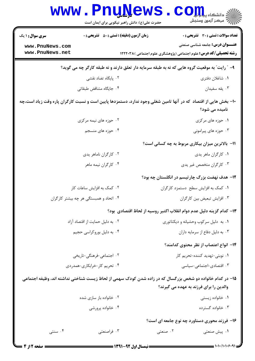|                                                                                                | <b>www.PnuNews</b><br>حضرت علی(ع): دانش راهبر نیکویی برای ایمان است | دانشڪاه پ <b>ياپا</b> را<br>آخ<br>رآ مرکز آزمون وسنجش                                                                                                                                                                                                                                                                  |  |  |  |  |
|------------------------------------------------------------------------------------------------|---------------------------------------------------------------------|------------------------------------------------------------------------------------------------------------------------------------------------------------------------------------------------------------------------------------------------------------------------------------------------------------------------|--|--|--|--|
| <b>سری سوال : ۱ یک</b>                                                                         | <b>زمان آزمون (دقیقه) : تستی : 50 ٪ تشریحی : 0</b>                  | <b>تعداد سوالات : تستی : 30 ٪ تشریحی : 0</b>                                                                                                                                                                                                                                                                           |  |  |  |  |
| www.PnuNews.com                                                                                |                                                                     | <b>عنـــوان درس:</b> جامعه شناسی صنعتی                                                                                                                                                                                                                                                                                 |  |  |  |  |
| www.PnuNews.net                                                                                |                                                                     | <b>رشته تحصیلی/کد درس:</b> علوم اجتماعی (پژوهشگری علوم اجتماعی )۱۲۲۲۰۳۸                                                                                                                                                                                                                                                |  |  |  |  |
| ۹- ″ رایت″ به موقعیت گروه هایی که نه به طبقه سرمایه دار تعلق دارند و نه طبقه کارگر چه می گوید؟ |                                                                     |                                                                                                                                                                                                                                                                                                                        |  |  |  |  |
|                                                                                                | ۰۲ پایگاه تضاد نقشی                                                 | ۰۱ شاغلان دفتری                                                                                                                                                                                                                                                                                                        |  |  |  |  |
|                                                                                                | ۰۴ جایگاه متناقض طبقاتی                                             | ۰۳ يقه سفيدان                                                                                                                                                                                                                                                                                                          |  |  |  |  |
|                                                                                                |                                                                     | +۱- بخش هایی از اقتصاد که در آنها تامین شغلی وجود ندارد، دستمزدها پایین است و نسبت کارگران پاره وقت زیاد است،چه                                                                                                                                                                                                        |  |  |  |  |
|                                                                                                |                                                                     | نامیده می شود؟                                                                                                                                                                                                                                                                                                         |  |  |  |  |
|                                                                                                | ۰۲ حوزه های نیمه مرکزی                                              | ۰۱ حوزه های مرکزی                                                                                                                                                                                                                                                                                                      |  |  |  |  |
|                                                                                                | ۰۴ حوزه های منسجم                                                   | ۰۳ حوزه های پیرامونی                                                                                                                                                                                                                                                                                                   |  |  |  |  |
|                                                                                                |                                                                     | 11- بالاترین میزان بیکاری مربوط به چه کسانی است؟                                                                                                                                                                                                                                                                       |  |  |  |  |
|                                                                                                | ۰۲ کارگران ناماهر يدي                                               | ۰۱ کارگران ماهر يدي                                                                                                                                                                                                                                                                                                    |  |  |  |  |
|                                                                                                | ۰۴ کارگران نیمه ماهر                                                | ۰۳ کارگران متخصص غیر یدی                                                                                                                                                                                                                                                                                               |  |  |  |  |
|                                                                                                |                                                                     | ۱۲– هدف نهضت بزرگ چارتیسم در انگلستان چه بود؟                                                                                                                                                                                                                                                                          |  |  |  |  |
|                                                                                                | ۰۲ کمک به افزایش ساعات کار                                          | ۰۱ کمک به افزایش سطح دستمزد کارگران                                                                                                                                                                                                                                                                                    |  |  |  |  |
|                                                                                                | ۰۴ اتحاد و همبستگی هر چه بیشتر کارگران                              | ۰۳ افزایش تبعیض بین کارگران                                                                                                                                                                                                                                                                                            |  |  |  |  |
|                                                                                                |                                                                     | ۱۳– کدام گزینه دلیل عدم دوام انقلاب اکتبر روسیه از لحاظ اقتصادی بود؟                                                                                                                                                                                                                                                   |  |  |  |  |
|                                                                                                | ۰۲ به دلیل حمایت از اقتصاد آزاد                                     | ٠١ به دليل سركوب وحشيانه و ديكتاتوري                                                                                                                                                                                                                                                                                   |  |  |  |  |
|                                                                                                | ۰۴ به دلیل بوروکراسی حجیم                                           | ٠٣ به دليل دفاع از سرمايه داران                                                                                                                                                                                                                                                                                        |  |  |  |  |
|                                                                                                |                                                                     | ۱۴– انواع اعتصاب از نظر محتوى كدامند؟                                                                                                                                                                                                                                                                                  |  |  |  |  |
|                                                                                                | ۰۲ اجتماعی-فرهنگی-تاریخی                                            | 1. نوبتى-تهديد كننده-تحريم كار                                                                                                                                                                                                                                                                                         |  |  |  |  |
|                                                                                                | ۰۴ تحریم کار-خرابکاری-همدردی                                        | ۰۳ اقتصادی-اجتماعی-سیاسی                                                                                                                                                                                                                                                                                               |  |  |  |  |
|                                                                                                |                                                                     | ۱۵– در کدام خانواده دو شخص بزرگسال که در زاده شدن کودک سهمی از لحاظ زیست شناختی نداشته اند، وظیفه اجتماعی<br>والدین را برای فرزند به عهده می گیرند؟                                                                                                                                                                    |  |  |  |  |
|                                                                                                | ۰۲ خانواده باز سازی شده                                             | ۰۱ خانواده زیستی                                                                                                                                                                                                                                                                                                       |  |  |  |  |
|                                                                                                | ۰۴ خانواده پرورشي                                                   | ۰۳ خانواده گسترده                                                                                                                                                                                                                                                                                                      |  |  |  |  |
|                                                                                                | ۱۶– فرزند محوری دستاورد چه نوع جامعه ای است؟                        |                                                                                                                                                                                                                                                                                                                        |  |  |  |  |
| ۰۴ سنتی                                                                                        | ۰۳ فراصنعتی                                                         | ۰۲ صنعتی<br>۰۱ پیش صنعتی                                                                                                                                                                                                                                                                                               |  |  |  |  |
| = صفحه 12ز 4                                                                                   | ــــــــــــ نیمسال اول 92-1391 ــــــــ                            | $=$ $\frac{1}{2}$ $\frac{1}{2}$ $\frac{1}{2}$ $\frac{1}{2}$ $\frac{1}{2}$ $\frac{1}{2}$ $\frac{1}{2}$ $\frac{1}{2}$ $\frac{1}{2}$ $\frac{1}{2}$ $\frac{1}{2}$ $\frac{1}{2}$ $\frac{1}{2}$ $\frac{1}{2}$ $\frac{1}{2}$ $\frac{1}{2}$ $\frac{1}{2}$ $\frac{1}{2}$ $\frac{1}{2}$ $\frac{1}{2}$ $\frac{1}{2}$ $\frac{1}{2$ |  |  |  |  |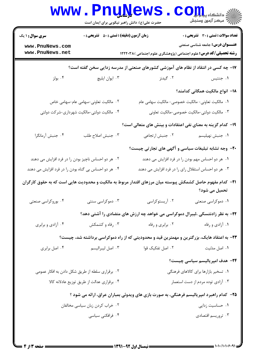| <b>تعداد سوالات : تستی : 30 ٪ تشریحی : 0</b>                                       | <b>زمان آزمون (دقیقه) : تستی : ۵۰ تشریحی : 0</b>                                                                  |                                                 | <b>سری سوال : ۱ یک</b>                               |  |  |
|------------------------------------------------------------------------------------|-------------------------------------------------------------------------------------------------------------------|-------------------------------------------------|------------------------------------------------------|--|--|
| <b>عنـــوان درس:</b> جامعه شناسی صنعتی                                             | <b>رشته تحصیلی/کد درس:</b> علوم اجتماعی (پژوهشگری علوم اجتماعی )۱۲۲۲۰۳۸                                           |                                                 | www.PnuNews.com<br>www.PnuNews.net                   |  |  |
| ۱۷- چه کسی در انتقاد از نظام های آموزشی کشورهای صنعتی از مدرسه زدایی سخن گفته است؟ |                                                                                                                   |                                                 |                                                      |  |  |
| ۰۱ جنتیس                                                                           | ۰۲ گیدنز                                                                                                          | ۰۳ ايوان ايليچ                                  | ۰۴ بولز                                              |  |  |
| 1۸− انواع مالکیت همگانی کدامند؟                                                    |                                                                                                                   |                                                 |                                                      |  |  |
|                                                                                    | ٠١. مالكيت تعاوني- مالكيت خصوصي- مالكيت سهامي عام                                                                 | ۰۲ مالکیت تعاونی-سهامی عام-سهامی خاص            |                                                      |  |  |
| ۰۳ مالکیت دولتی-مالکیت خصوصی-مالکیت تعاونی                                         |                                                                                                                   | ۰۴ مالکیت دولتی-مالکیت شهرداری-شرکت دولتی       |                                                      |  |  |
| ۱۹- کدام گزینه به معنای نفی اعتقادات و بینش های متعالی است؟                        |                                                                                                                   |                                                 |                                                      |  |  |
| ٠١ جنبش نهيليسم                                                                    | ٠٢ جنبش ارتجاعي                                                                                                   | ٠٣ جنبش اصلاح طلب                               | ۰۴ جنبش آرمانگرا                                     |  |  |
|                                                                                    | +۲- وجه تشابه تبلیغات سیاسی و آگهی های تجارتی چیست؟                                                               |                                                 |                                                      |  |  |
| ۰۱ هر دو احساس مهم بودن را در فرد افزایش می دهند                                   |                                                                                                                   |                                                 | ۰۲ هر دو احساس ناچیز بودن را در فرد افزایش می دهند   |  |  |
|                                                                                    | ۰۳ هر دو احساس استقلال رای را در فرد افزایش می دهند                                                               |                                                 | ۰۴ هر دو احساس بی گناه بودن را در فرد افزایش می دهند |  |  |
|                                                                                    | <b>۳۱</b> – کدام مفهوم حاصل کشمکش پیوسته میان مرزهای اقتدار مربوط به مالکیت و محدودیت هایی است که به حقوق کارگران |                                                 |                                                      |  |  |
| تحمیل می شود؟                                                                      |                                                                                                                   |                                                 |                                                      |  |  |
| ۰۱ دموکراسی صنعتی                                                                  |                                                                                                                   |                                                 |                                                      |  |  |
|                                                                                    | ۲۲- به نظر زادنتسکی ،لیبرال دموکراسی می خواهد چه ارزش های متضادی را آشتی دهد؟                                     |                                                 |                                                      |  |  |
| ۰۱ آزادی و رفاه                                                                    | ۰۲ برابری و رفاه                                                                                                  | ۰۳ رفاه و کشمکش                                 | ۰۴ آزادي و برابري                                    |  |  |
|                                                                                    | ۲۳– به اعتقاد هایک، بزرگترین و مهمترین قید و محدودیتی که از راه دموکراسی برداشته شد، چیست؟                        |                                                 |                                                      |  |  |
| ۰۱ اصل مدتیت                                                                       | ۰۲ اصل تفکیک قوا                                                                                                  | ۰۳ اصل ليبراليسم                                | ۰۴ اصل برابری                                        |  |  |
| <b>۲۴</b> - هدف امپریالیسم سیاسی چیست؟                                             |                                                                                                                   |                                                 |                                                      |  |  |
| ۰۱ تسخیر بازارها برای کالاهای فرهنگی                                               |                                                                                                                   | ۰۲ برقراری سلطه از طریق شکل دادن به افکار عمومی |                                                      |  |  |
| ۰۳ آزادی توده مردم از دست استعمار                                                  |                                                                                                                   | ۰۴ برقراری عدالت از طریق توزیع عادلانه کالا     |                                                      |  |  |
|                                                                                    | ۲۵– کدام راهبرد امپریالیسم فرهنگی، به صورت بازی های ویدوئی بمباران عراق، ارائه می شود ؟                           |                                                 |                                                      |  |  |
| ۰۱ حساسیت زدایی                                                                    |                                                                                                                   | ۰۲ خراب کردن زبان سیاسی مخالفان                 |                                                      |  |  |
| ۰۳ تروريسم اقتصادي                                                                 |                                                                                                                   | ۰۴ فرافکنی سیاسی                                |                                                      |  |  |